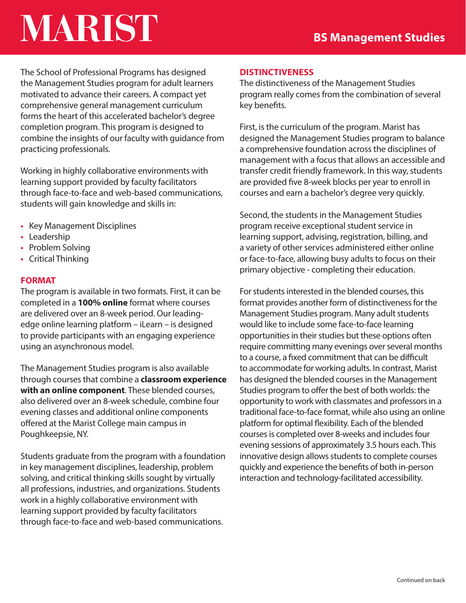# **MARIST**

The School of Professional Programs has designed the Management Studies program for adult learners motivated to advance their careers. A compact yet comprehensive general management curriculum forms the heart of this accelerated bachelor's degree completion program. This program is designed to combine the insights of our faculty with guidance from practicing professionals.

Working in highly collaborative environments with learning support provided by faculty facilitators through face-to-face and web-based communications, students will gain knowledge and skills in:

- Key Management Disciplines
- Leadership
- Problem Solving
- Critical Thinking

### **FORMAT**

The program is available in two formats. First, it can be completed in a **100% online** format where courses are delivered over an 8-week period. Our leadingedge online learning platform – iLearn – is designed to provide participants with an engaging experience using an asynchronous model.

The Management Studies program is also available through courses that combine a **classroom experience with an online component**. These blended courses, also delivered over an 8-week schedule, combine four evening classes and additional online components offered at the Marist College main campus in Poughkeepsie, NY.

Students graduate from the program with a foundation in key management disciplines, leadership, problem solving, and critical thinking skills sought by virtually all professions, industries, and organizations. Students work in a highly collaborative environment with learning support provided by faculty facilitators through face-to-face and web-based communications.

#### **DISTINCTIVENESS**

The distinctiveness of the Management Studies program really comes from the combination of several key benefits.

First, is the curriculum of the program. Marist has designed the Management Studies program to balance a comprehensive foundation across the disciplines of management with a focus that allows an accessible and transfer credit friendly framework. In this way, students are provided five 8-week blocks per year to enroll in courses and earn a bachelor's degree very quickly.

Second, the students in the Management Studies program receive exceptional student service in learning support, advising, registration, billing, and a variety of other services administered either online or face-to-face, allowing busy adults to focus on their primary objective - completing their education.

For students interested in the blended courses, this format provides another form of distinctiveness for the Management Studies program. Many adult students would like to include some face-to-face learning opportunities in their studies but these options often require committing many evenings over several months to a course, a fixed commitment that can be difficult to accommodate for working adults. In contrast, Marist has designed the blended courses in the Management Studies program to offer the best of both worlds: the opportunity to work with classmates and professors in a traditional face-to-face format, while also using an online platform for optimal flexibility. Each of the blended courses is completed over 8-weeks and includes four evening sessions of approximately 3.5 hours each. This innovative design allows students to complete courses quickly and experience the benefits of both in-person interaction and technology-facilitated accessibility.